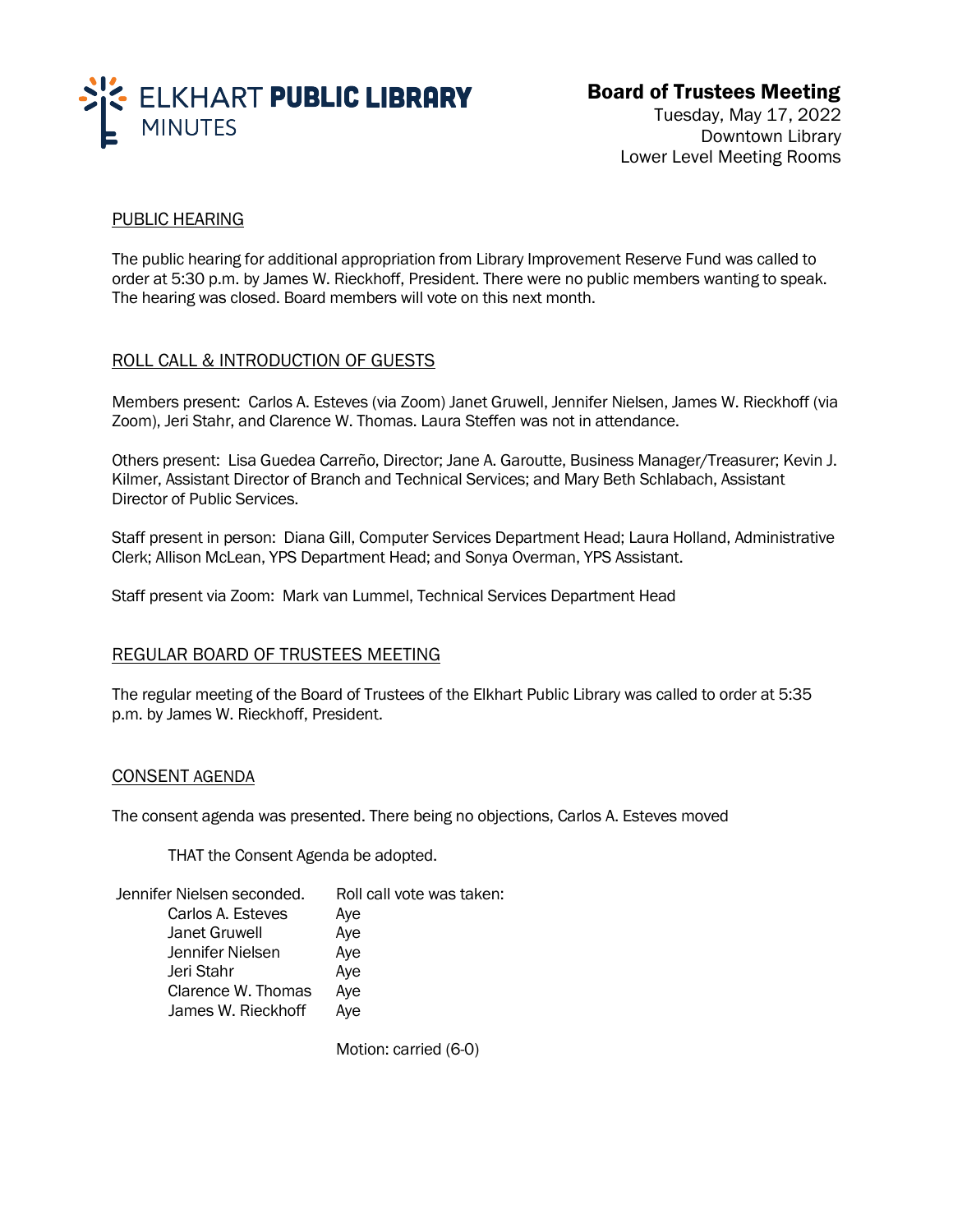

# Board of Trustees Meeting

Tuesday, May 17, 2022 Downtown Library Lower Level Meeting Rooms

# PUBLIC HEARING

The public hearing for additional appropriation from Library Improvement Reserve Fund was called to order at 5:30 p.m. by James W. Rieckhoff, President. There were no public members wanting to speak. The hearing was closed. Board members will vote on this next month.

## ROLL CALL & INTRODUCTION OF GUESTS

Members present: Carlos A. Esteves (via Zoom) Janet Gruwell, Jennifer Nielsen, James W. Rieckhoff (via Zoom), Jeri Stahr, and Clarence W. Thomas. Laura Steffen was not in attendance.

Others present: Lisa Guedea Carreño, Director; Jane A. Garoutte, Business Manager/Treasurer; Kevin J. Kilmer, Assistant Director of Branch and Technical Services; and Mary Beth Schlabach, Assistant Director of Public Services.

Staff present in person: Diana Gill, Computer Services Department Head; Laura Holland, Administrative Clerk; Allison McLean, YPS Department Head; and Sonya Overman, YPS Assistant.

Staff present via Zoom: Mark van Lummel, Technical Services Department Head

#### REGULAR BOARD OF TRUSTEES MEETING

The regular meeting of the Board of Trustees of the Elkhart Public Library was called to order at 5:35 p.m. by James W. Rieckhoff, President.

#### CONSENT AGENDA

The consent agenda was presented. There being no objections, Carlos A. Esteves moved

THAT the Consent Agenda be adopted.

| Jennifer Nielsen seconded. | Roll call vote was taken: |
|----------------------------|---------------------------|
| Carlos A. Esteves          | Aye                       |
| Janet Gruwell              | Aye                       |
| Jennifer Nielsen           | Aye                       |
| Jeri Stahr                 | Aye                       |
| Clarence W. Thomas         | Aye                       |
| James W. Rieckhoff         | Aye                       |

Motion: carried (6-0)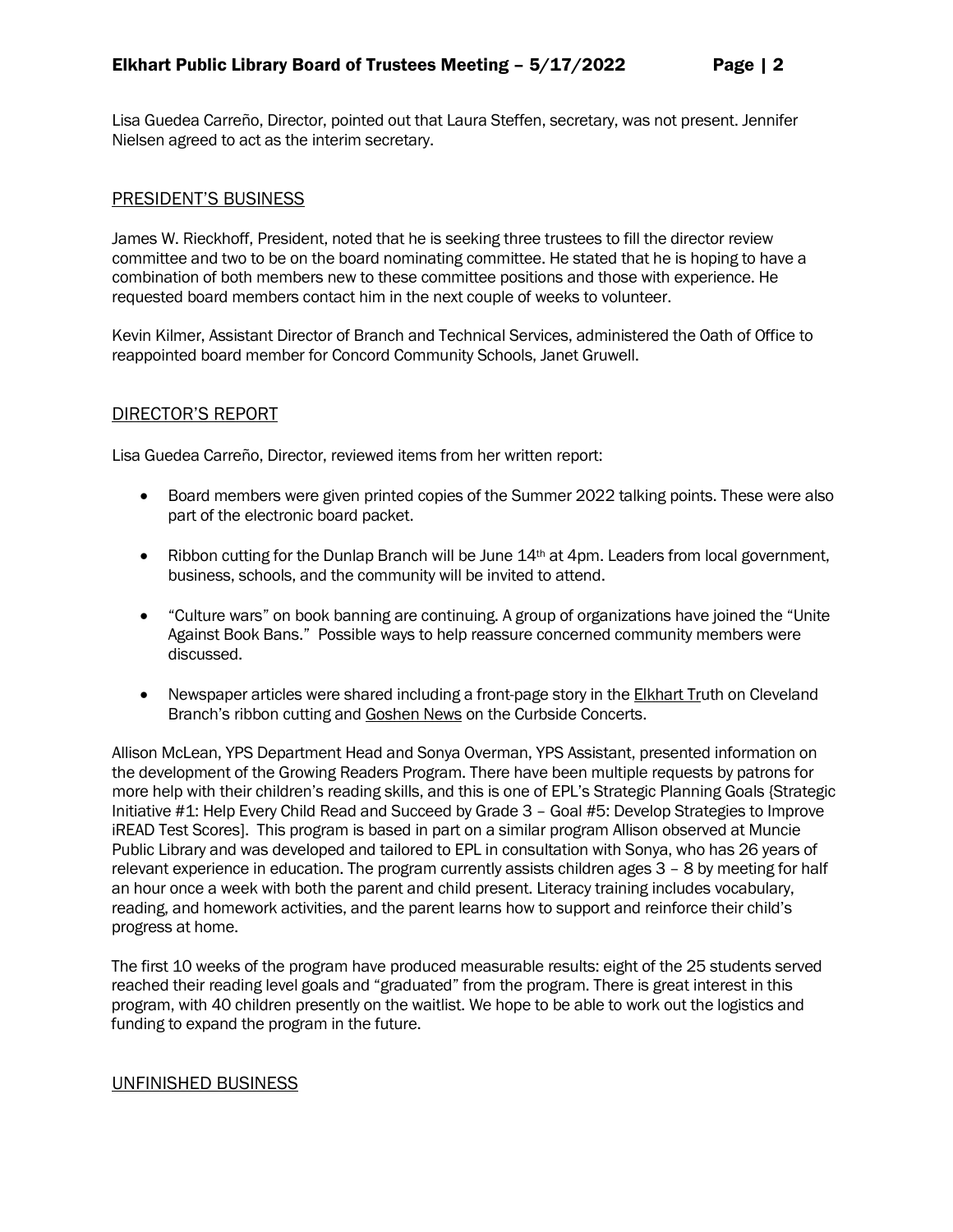Lisa Guedea Carreño, Director, pointed out that Laura Steffen, secretary, was not present. Jennifer Nielsen agreed to act as the interim secretary.

#### PRESIDENT'S BUSINESS

James W. Rieckhoff, President, noted that he is seeking three trustees to fill the director review committee and two to be on the board nominating committee. He stated that he is hoping to have a combination of both members new to these committee positions and those with experience. He requested board members contact him in the next couple of weeks to volunteer.

Kevin Kilmer, Assistant Director of Branch and Technical Services, administered the Oath of Office to reappointed board member for Concord Community Schools, Janet Gruwell.

#### DIRECTOR'S REPORT

Lisa Guedea Carreño, Director, reviewed items from her written report:

- Board members were given printed copies of the Summer 2022 talking points. These were also part of the electronic board packet.
- Ribbon cutting for the Dunlap Branch will be June 14<sup>th</sup> at 4pm. Leaders from local government, business, schools, and the community will be invited to attend.
- "Culture wars" on book banning are continuing. A group of organizations have joined the "Unite Against Book Bans." Possible ways to help reassure concerned community members were discussed.
- Newspaper articles were shared including a front-page story in the Elkhart Truth on Cleveland Branch's ribbon cutting and Goshen News on the Curbside Concerts.

Allison McLean, YPS Department Head and Sonya Overman, YPS Assistant, presented information on the development of the Growing Readers Program. There have been multiple requests by patrons for more help with their children's reading skills, and this is one of EPL's Strategic Planning Goals {Strategic Initiative #1: Help Every Child Read and Succeed by Grade 3 – Goal #5: Develop Strategies to Improve iREAD Test Scores]. This program is based in part on a similar program Allison observed at Muncie Public Library and was developed and tailored to EPL in consultation with Sonya, who has 26 years of relevant experience in education. The program currently assists children ages 3 – 8 by meeting for half an hour once a week with both the parent and child present. Literacy training includes vocabulary, reading, and homework activities, and the parent learns how to support and reinforce their child's progress at home.

The first 10 weeks of the program have produced measurable results: eight of the 25 students served reached their reading level goals and "graduated" from the program. There is great interest in this program, with 40 children presently on the waitlist. We hope to be able to work out the logistics and funding to expand the program in the future.

#### UNFINISHED BUSINESS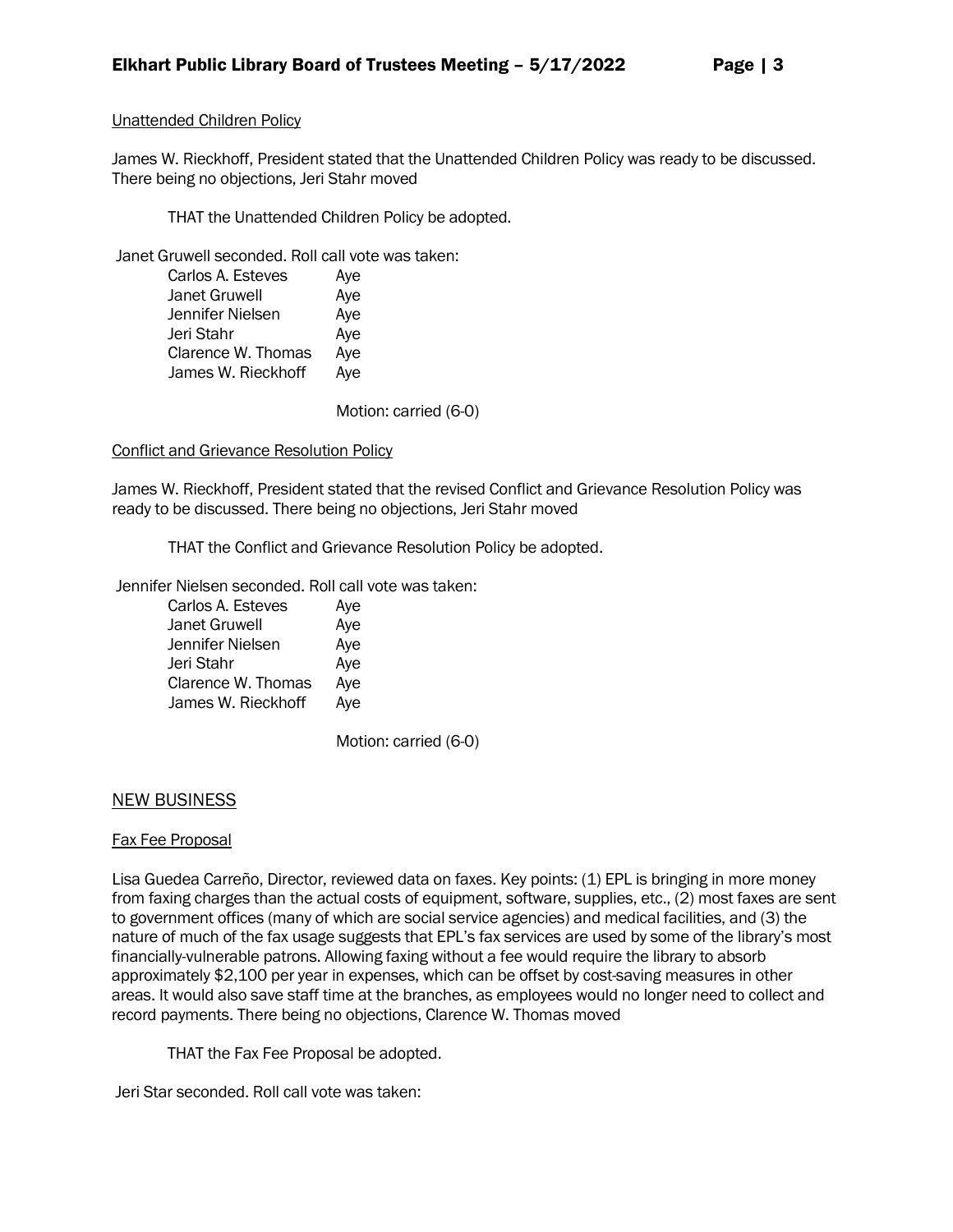## Unattended Children Policy

James W. Rieckhoff, President stated that the Unattended Children Policy was ready to be discussed. There being no objections, Jeri Stahr moved

THAT the Unattended Children Policy be adopted.

Janet Gruwell seconded. Roll call vote was taken:

| Carlos A. Esteves    | Aye |
|----------------------|-----|
| <b>Janet Gruwell</b> | Aye |
| Jennifer Nielsen     | Aye |
| Jeri Stahr           | Aye |
| Clarence W. Thomas   | Aye |
| James W. Rieckhoff   | Aye |
|                      |     |

Motion: carried (6-0)

#### Conflict and Grievance Resolution Policy

James W. Rieckhoff, President stated that the revised Conflict and Grievance Resolution Policy was ready to be discussed. There being no objections, Jeri Stahr moved

THAT the Conflict and Grievance Resolution Policy be adopted.

Jennifer Nielsen seconded. Roll call vote was taken:

| Carlos A. Esteves    | Aye |
|----------------------|-----|
| <b>Janet Gruwell</b> | Aye |
| Jennifer Nielsen     | Aye |
| Jeri Stahr           | Aye |
| Clarence W. Thomas   | Aye |
| James W. Rieckhoff   | Aye |

Motion: carried (6-0)

# NEW BUSINESS

#### Fax Fee Proposal

Lisa Guedea Carreño, Director, reviewed data on faxes. Key points: (1) EPL is bringing in more money from faxing charges than the actual costs of equipment, software, supplies, etc., (2) most faxes are sent to government offices (many of which are social service agencies) and medical facilities, and (3) the nature of much of the fax usage suggests that EPL's fax services are used by some of the library's most financially-vulnerable patrons. Allowing faxing without a fee would require the library to absorb approximately \$2,100 per year in expenses, which can be offset by cost-saving measures in other areas. It would also save staff time at the branches, as employees would no longer need to collect and record payments. There being no objections, Clarence W. Thomas moved

THAT the Fax Fee Proposal be adopted.

Jeri Star seconded. Roll call vote was taken: